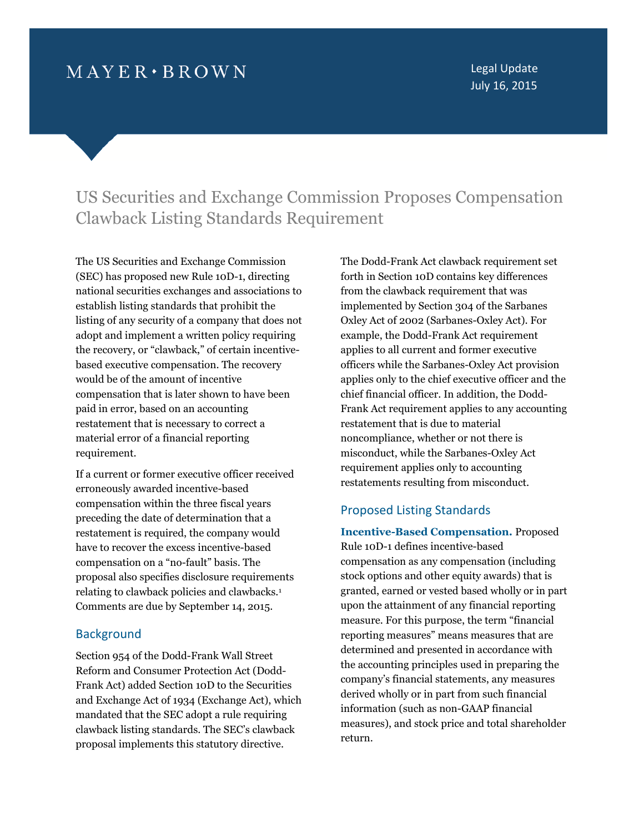## $M$  A Y E R  $\cdot$  B R O W N

Legal Update July 16, 2015

# US Securities and Exchange Commission Proposes Compensation Clawback Listing Standards Requirement

The US Securities and Exchange Commission (SEC) has proposed new Rule 10D-1, directing national securities exchanges and associations to establish listing standards that prohibit the listing of any security of a company that does not adopt and implement a written policy requiring the recovery, or "clawback," of certain incentivebased executive compensation. The recovery would be of the amount of incentive compensation that is later shown to have been paid in error, based on an accounting restatement that is necessary to correct a material error of a financial reporting requirement.

If a current or former executive officer received erroneously awarded incentive-based compensation within the three fiscal years preceding the date of determination that a restatement is required, the company would have to recover the excess incentive-based compensation on a "no-fault" basis. The proposal also specifies disclosure requirements relating to clawback policies and clawbacks.[1](#page-8-0) Comments are due by September 14, 2015.

## **Background**

Section 954 of the Dodd-Frank Wall Street Reform and Consumer Protection Act (Dodd-Frank Act) added Section 10D to the Securities and Exchange Act of 1934 (Exchange Act), which mandated that the SEC adopt a rule requiring clawback listing standards. The SEC's clawback proposal implements this statutory directive.

The Dodd-Frank Act clawback requirement set forth in Section 10D contains key differences from the clawback requirement that was implemented by Section 304 of the Sarbanes Oxley Act of 2002 (Sarbanes-Oxley Act). For example, the Dodd-Frank Act requirement applies to all current and former executive officers while the Sarbanes-Oxley Act provision applies only to the chief executive officer and the chief financial officer. In addition, the Dodd-Frank Act requirement applies to any accounting restatement that is due to material noncompliance, whether or not there is misconduct, while the Sarbanes-Oxley Act requirement applies only to accounting restatements resulting from misconduct.

## Proposed Listing Standards

**Incentive-Based Compensation.** Proposed Rule 10D-1 defines incentive-based compensation as any compensation (including stock options and other equity awards) that is granted, earned or vested based wholly or in part upon the attainment of any financial reporting measure. For this purpose, the term "financial reporting measures" means measures that are determined and presented in accordance with the accounting principles used in preparing the company's financial statements, any measures derived wholly or in part from such financial information (such as non-GAAP financial measures), and stock price and total shareholder return.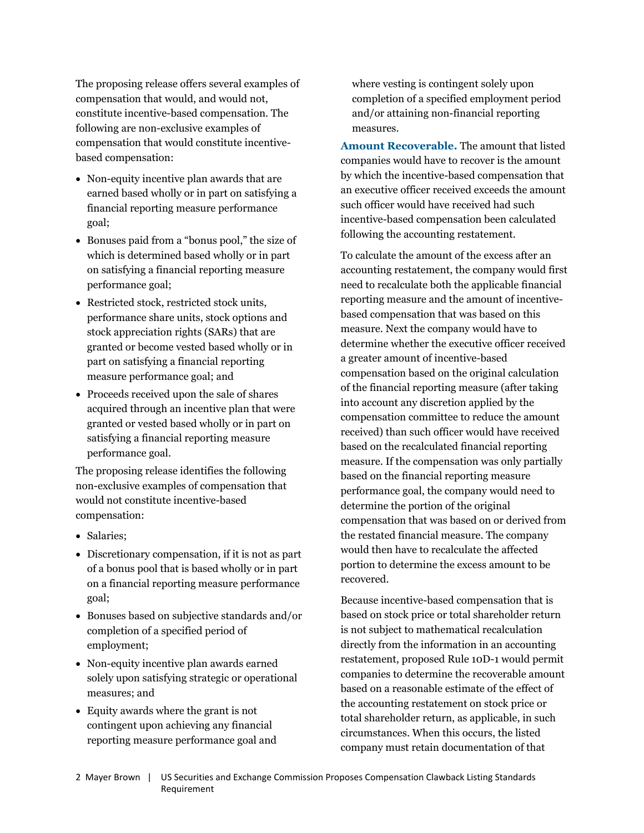The proposing release offers several examples of compensation that would, and would not, constitute incentive-based compensation. The following are non-exclusive examples of compensation that would constitute incentivebased compensation:

- Non-equity incentive plan awards that are earned based wholly or in part on satisfying a financial reporting measure performance goal;
- Bonuses paid from a "bonus pool," the size of which is determined based wholly or in part on satisfying a financial reporting measure performance goal;
- Restricted stock, restricted stock units, performance share units, stock options and stock appreciation rights (SARs) that are granted or become vested based wholly or in part on satisfying a financial reporting measure performance goal; and
- Proceeds received upon the sale of shares acquired through an incentive plan that were granted or vested based wholly or in part on satisfying a financial reporting measure performance goal.

The proposing release identifies the following non-exclusive examples of compensation that would not constitute incentive-based compensation:

- Salaries:
- Discretionary compensation, if it is not as part of a bonus pool that is based wholly or in part on a financial reporting measure performance goal;
- Bonuses based on subjective standards and/or completion of a specified period of employment;
- Non-equity incentive plan awards earned solely upon satisfying strategic or operational measures; and
- Equity awards where the grant is not contingent upon achieving any financial reporting measure performance goal and

where vesting is contingent solely upon completion of a specified employment period and/or attaining non-financial reporting measures.

**Amount Recoverable.** The amount that listed companies would have to recover is the amount by which the incentive-based compensation that an executive officer received exceeds the amount such officer would have received had such incentive-based compensation been calculated following the accounting restatement.

To calculate the amount of the excess after an accounting restatement, the company would first need to recalculate both the applicable financial reporting measure and the amount of incentivebased compensation that was based on this measure. Next the company would have to determine whether the executive officer received a greater amount of incentive-based compensation based on the original calculation of the financial reporting measure (after taking into account any discretion applied by the compensation committee to reduce the amount received) than such officer would have received based on the recalculated financial reporting measure. If the compensation was only partially based on the financial reporting measure performance goal, the company would need to determine the portion of the original compensation that was based on or derived from the restated financial measure. The company would then have to recalculate the affected portion to determine the excess amount to be recovered.

Because incentive-based compensation that is based on stock price or total shareholder return is not subject to mathematical recalculation directly from the information in an accounting restatement, proposed Rule 10D-1 would permit companies to determine the recoverable amount based on a reasonable estimate of the effect of the accounting restatement on stock price or total shareholder return, as applicable, in such circumstances. When this occurs, the listed company must retain documentation of that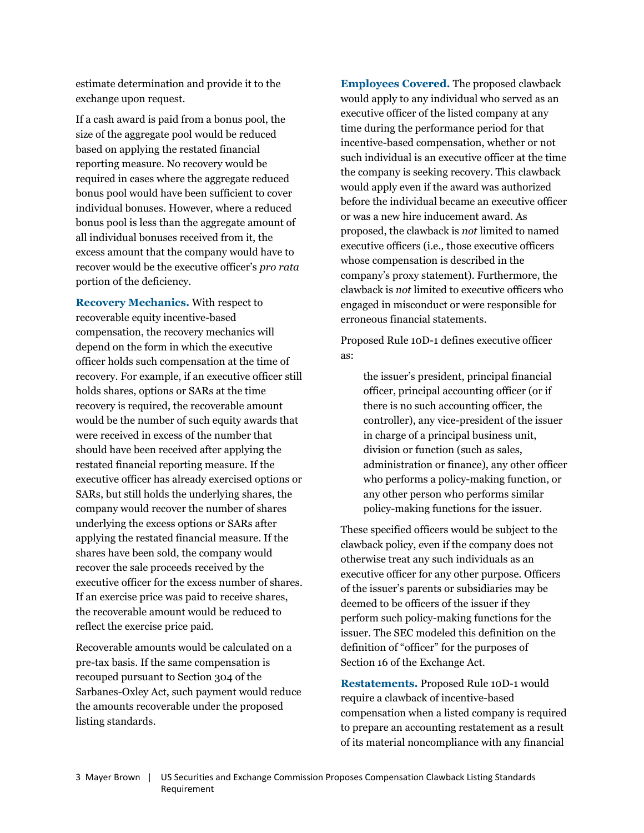estimate determination and provide it to the exchange upon request.

If a cash award is paid from a bonus pool, the size of the aggregate pool would be reduced based on applying the restated financial reporting measure. No recovery would be required in cases where the aggregate reduced bonus pool would have been sufficient to cover individual bonuses. However, where a reduced bonus pool is less than the aggregate amount of all individual bonuses received from it, the excess amount that the company would have to recover would be the executive officer's *pro rata* portion of the deficiency.

**Recovery Mechanics.** With respect to recoverable equity incentive-based compensation, the recovery mechanics will depend on the form in which the executive officer holds such compensation at the time of recovery. For example, if an executive officer still holds shares, options or SARs at the time recovery is required, the recoverable amount would be the number of such equity awards that were received in excess of the number that should have been received after applying the restated financial reporting measure. If the executive officer has already exercised options or SARs, but still holds the underlying shares, the company would recover the number of shares underlying the excess options or SARs after applying the restated financial measure. If the shares have been sold, the company would recover the sale proceeds received by the executive officer for the excess number of shares. If an exercise price was paid to receive shares, the recoverable amount would be reduced to reflect the exercise price paid.

Recoverable amounts would be calculated on a pre-tax basis. If the same compensation is recouped pursuant to Section 304 of the Sarbanes-Oxley Act, such payment would reduce the amounts recoverable under the proposed listing standards.

**Employees Covered.** The proposed clawback would apply to any individual who served as an executive officer of the listed company at any time during the performance period for that incentive-based compensation, whether or not such individual is an executive officer at the time the company is seeking recovery. This clawback would apply even if the award was authorized before the individual became an executive officer or was a new hire inducement award. As proposed, the clawback is *not* limited to named executive officers (i.e.*,* those executive officers whose compensation is described in the company's proxy statement). Furthermore, the clawback is *not* limited to executive officers who engaged in misconduct or were responsible for erroneous financial statements.

Proposed Rule 10D-1 defines executive officer as:

the issuer's president, principal financial officer, principal accounting officer (or if there is no such accounting officer, the controller), any vice-president of the issuer in charge of a principal business unit, division or function (such as sales, administration or finance), any other officer who performs a policy-making function, or any other person who performs similar policy-making functions for the issuer.

These specified officers would be subject to the clawback policy, even if the company does not otherwise treat any such individuals as an executive officer for any other purpose. Officers of the issuer's parents or subsidiaries may be deemed to be officers of the issuer if they perform such policy-making functions for the issuer. The SEC modeled this definition on the definition of "officer" for the purposes of Section 16 of the Exchange Act.

**Restatements.** Proposed Rule 10D-1 would require a clawback of incentive-based compensation when a listed company is required to prepare an accounting restatement as a result of its material noncompliance with any financial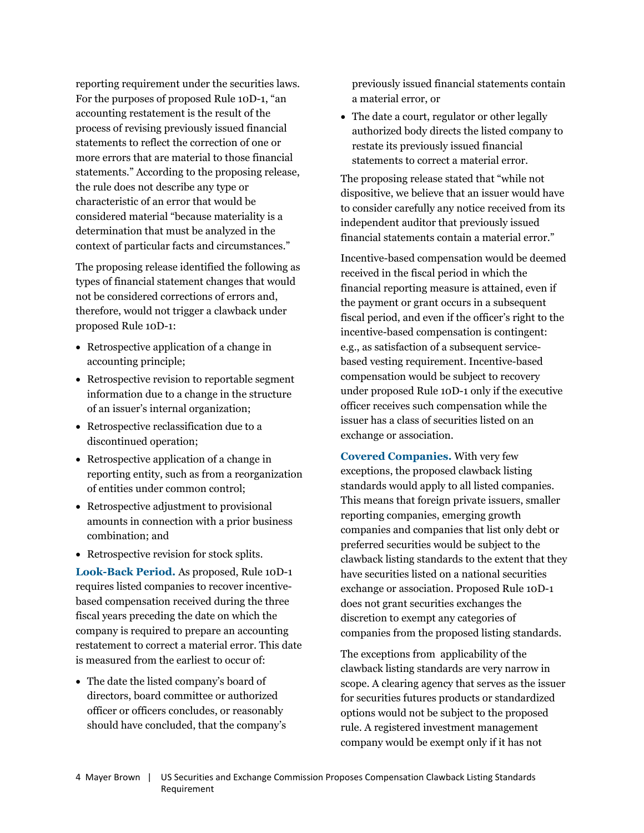reporting requirement under the securities laws. For the purposes of proposed Rule 10D-1, "an accounting restatement is the result of the process of revising previously issued financial statements to reflect the correction of one or more errors that are material to those financial statements." According to the proposing release, the rule does not describe any type or characteristic of an error that would be considered material "because materiality is a determination that must be analyzed in the context of particular facts and circumstances."

The proposing release identified the following as types of financial statement changes that would not be considered corrections of errors and, therefore, would not trigger a clawback under proposed Rule 10D-1:

- Retrospective application of a change in accounting principle;
- Retrospective revision to reportable segment information due to a change in the structure of an issuer's internal organization;
- Retrospective reclassification due to a discontinued operation;
- Retrospective application of a change in reporting entity, such as from a reorganization of entities under common control;
- Retrospective adjustment to provisional amounts in connection with a prior business combination; and
- Retrospective revision for stock splits.

**Look-Back Period.** As proposed, Rule 10D-1 requires listed companies to recover incentivebased compensation received during the three fiscal years preceding the date on which the company is required to prepare an accounting restatement to correct a material error. This date is measured from the earliest to occur of:

 The date the listed company's board of directors, board committee or authorized officer or officers concludes, or reasonably should have concluded, that the company's previously issued financial statements contain a material error, or

• The date a court, regulator or other legally authorized body directs the listed company to restate its previously issued financial statements to correct a material error.

The proposing release stated that "while not dispositive, we believe that an issuer would have to consider carefully any notice received from its independent auditor that previously issued financial statements contain a material error."

Incentive-based compensation would be deemed received in the fiscal period in which the financial reporting measure is attained, even if the payment or grant occurs in a subsequent fiscal period, and even if the officer's right to the incentive-based compensation is contingent: e.g., as satisfaction of a subsequent servicebased vesting requirement. Incentive-based compensation would be subject to recovery under proposed Rule 10D-1 only if the executive officer receives such compensation while the issuer has a class of securities listed on an exchange or association.

**Covered Companies.** With very few exceptions, the proposed clawback listing standards would apply to all listed companies. This means that foreign private issuers, smaller reporting companies, emerging growth companies and companies that list only debt or preferred securities would be subject to the clawback listing standards to the extent that they have securities listed on a national securities exchange or association. Proposed Rule 10D-1 does not grant securities exchanges the discretion to exempt any categories of companies from the proposed listing standards.

The exceptions from applicability of the clawback listing standards are very narrow in scope. A clearing agency that serves as the issuer for securities futures products or standardized options would not be subject to the proposed rule. A registered investment management company would be exempt only if it has not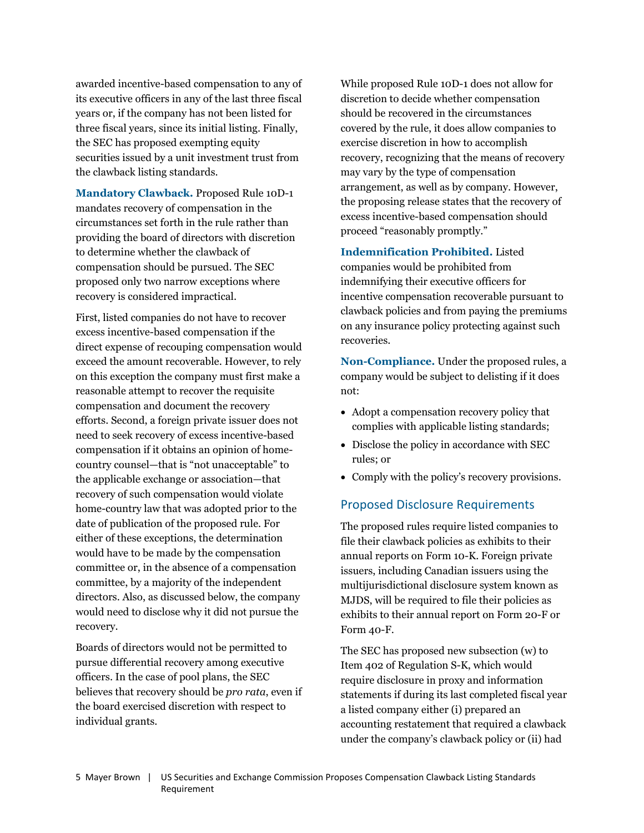awarded incentive-based compensation to any of its executive officers in any of the last three fiscal years or, if the company has not been listed for three fiscal years, since its initial listing. Finally, the SEC has proposed exempting equity securities issued by a unit investment trust from the clawback listing standards.

**Mandatory Clawback.** Proposed Rule 10D-1 mandates recovery of compensation in the circumstances set forth in the rule rather than providing the board of directors with discretion to determine whether the clawback of compensation should be pursued. The SEC proposed only two narrow exceptions where recovery is considered impractical.

First, listed companies do not have to recover excess incentive-based compensation if the direct expense of recouping compensation would exceed the amount recoverable. However, to rely on this exception the company must first make a reasonable attempt to recover the requisite compensation and document the recovery efforts. Second, a foreign private issuer does not need to seek recovery of excess incentive-based compensation if it obtains an opinion of homecountry counsel—that is "not unacceptable" to the applicable exchange or association—that recovery of such compensation would violate home-country law that was adopted prior to the date of publication of the proposed rule. For either of these exceptions, the determination would have to be made by the compensation committee or, in the absence of a compensation committee, by a majority of the independent directors. Also, as discussed below, the company would need to disclose why it did not pursue the recovery.

Boards of directors would not be permitted to pursue differential recovery among executive officers. In the case of pool plans, the SEC believes that recovery should be *pro rata*, even if the board exercised discretion with respect to individual grants.

While proposed Rule 10D-1 does not allow for discretion to decide whether compensation should be recovered in the circumstances covered by the rule, it does allow companies to exercise discretion in how to accomplish recovery, recognizing that the means of recovery may vary by the type of compensation arrangement, as well as by company. However, the proposing release states that the recovery of excess incentive-based compensation should proceed "reasonably promptly."

**Indemnification Prohibited.** Listed companies would be prohibited from indemnifying their executive officers for incentive compensation recoverable pursuant to clawback policies and from paying the premiums on any insurance policy protecting against such recoveries.

**Non-Compliance.** Under the proposed rules, a company would be subject to delisting if it does not:

- Adopt a compensation recovery policy that complies with applicable listing standards;
- Disclose the policy in accordance with SEC rules; or
- Comply with the policy's recovery provisions.

### Proposed Disclosure Requirements

The proposed rules require listed companies to file their clawback policies as exhibits to their annual reports on Form 10-K. Foreign private issuers, including Canadian issuers using the multijurisdictional disclosure system known as MJDS, will be required to file their policies as exhibits to their annual report on Form 20-F or Form 40-F.

The SEC has proposed new subsection (w) to Item 402 of Regulation S-K, which would require disclosure in proxy and information statements if during its last completed fiscal year a listed company either (i) prepared an accounting restatement that required a clawback under the company's clawback policy or (ii) had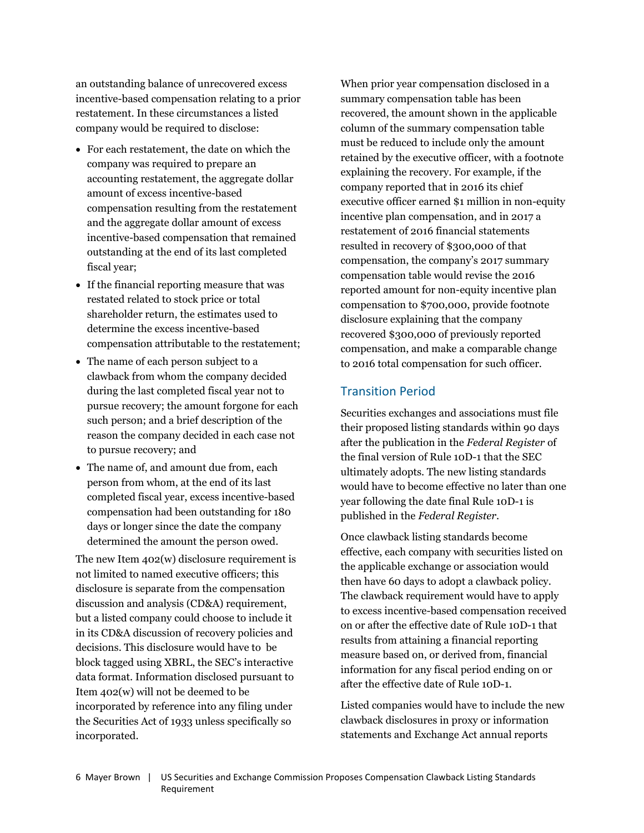an outstanding balance of unrecovered excess incentive-based compensation relating to a prior restatement. In these circumstances a listed company would be required to disclose:

- For each restatement, the date on which the company was required to prepare an accounting restatement, the aggregate dollar amount of excess incentive-based compensation resulting from the restatement and the aggregate dollar amount of excess incentive-based compensation that remained outstanding at the end of its last completed fiscal year;
- If the financial reporting measure that was restated related to stock price or total shareholder return, the estimates used to determine the excess incentive-based compensation attributable to the restatement;
- The name of each person subject to a clawback from whom the company decided during the last completed fiscal year not to pursue recovery; the amount forgone for each such person; and a brief description of the reason the company decided in each case not to pursue recovery; and
- The name of, and amount due from, each person from whom, at the end of its last completed fiscal year, excess incentive-based compensation had been outstanding for 180 days or longer since the date the company determined the amount the person owed.

The new Item 402(w) disclosure requirement is not limited to named executive officers; this disclosure is separate from the compensation discussion and analysis (CD&A) requirement, but a listed company could choose to include it in its CD&A discussion of recovery policies and decisions. This disclosure would have to be block tagged using XBRL, the SEC's interactive data format. Information disclosed pursuant to Item 402(w) will not be deemed to be incorporated by reference into any filing under the Securities Act of 1933 unless specifically so incorporated.

When prior year compensation disclosed in a summary compensation table has been recovered, the amount shown in the applicable column of the summary compensation table must be reduced to include only the amount retained by the executive officer, with a footnote explaining the recovery. For example, if the company reported that in 2016 its chief executive officer earned \$1 million in non-equity incentive plan compensation, and in 2017 a restatement of 2016 financial statements resulted in recovery of \$300,000 of that compensation, the company's 2017 summary compensation table would revise the 2016 reported amount for non-equity incentive plan compensation to \$700,000, provide footnote disclosure explaining that the company recovered \$300,000 of previously reported compensation, and make a comparable change to 2016 total compensation for such officer.

## Transition Period

Securities exchanges and associations must file their proposed listing standards within 90 days after the publication in the *Federal Register* of the final version of Rule 10D-1 that the SEC ultimately adopts. The new listing standards would have to become effective no later than one year following the date final Rule 10D-1 is published in the *Federal Register*.

Once clawback listing standards become effective, each company with securities listed on the applicable exchange or association would then have 60 days to adopt a clawback policy. The clawback requirement would have to apply to excess incentive-based compensation received on or after the effective date of Rule 10D-1 that results from attaining a financial reporting measure based on, or derived from, financial information for any fiscal period ending on or after the effective date of Rule 10D-1.

Listed companies would have to include the new clawback disclosures in proxy or information statements and Exchange Act annual reports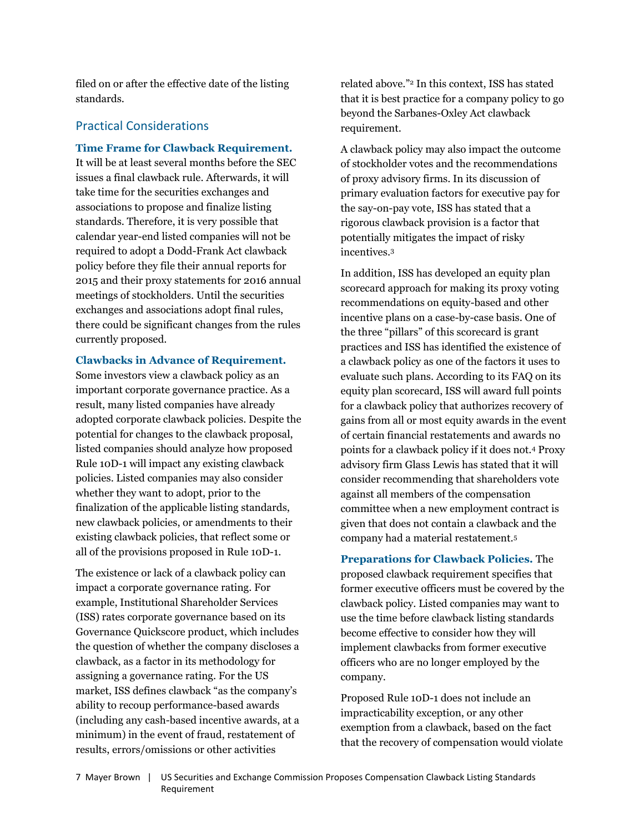filed on or after the effective date of the listing standards.

## Practical Considerations

#### **Time Frame for Clawback Requirement.**

It will be at least several months before the SEC issues a final clawback rule. Afterwards, it will take time for the securities exchanges and associations to propose and finalize listing standards. Therefore, it is very possible that calendar year-end listed companies will not be required to adopt a Dodd-Frank Act clawback policy before they file their annual reports for 2015 and their proxy statements for 2016 annual meetings of stockholders. Until the securities exchanges and associations adopt final rules, there could be significant changes from the rules currently proposed.

**Clawbacks in Advance of Requirement.**

Some investors view a clawback policy as an important corporate governance practice. As a result, many listed companies have already adopted corporate clawback policies. Despite the potential for changes to the clawback proposal, listed companies should analyze how proposed Rule 10D-1 will impact any existing clawback policies. Listed companies may also consider whether they want to adopt, prior to the finalization of the applicable listing standards, new clawback policies, or amendments to their existing clawback policies, that reflect some or all of the provisions proposed in Rule 10D-1.

The existence or lack of a clawback policy can impact a corporate governance rating. For example, Institutional Shareholder Services (ISS) rates corporate governance based on its Governance Quickscore product, which includes the question of whether the company discloses a clawback, as a factor in its methodology for assigning a governance rating. For the US market, ISS defines clawback "as the company's ability to recoup performance-based awards (including any cash-based incentive awards, at a minimum) in the event of fraud, restatement of results, errors/omissions or other activities

related above."[2](#page-8-1) In this context, ISS has stated that it is best practice for a company policy to go beyond the Sarbanes-Oxley Act clawback requirement.

A clawback policy may also impact the outcome of stockholder votes and the recommendations of proxy advisory firms. In its discussion of primary evaluation factors for executive pay for the say-on-pay vote, ISS has stated that a rigorous clawback provision is a factor that potentially mitigates the impact of risky incentives.[3](#page-8-2)

In addition, ISS has developed an equity plan scorecard approach for making its proxy voting recommendations on equity-based and other incentive plans on a case-by-case basis. One of the three "pillars" of this scorecard is grant practices and ISS has identified the existence of a clawback policy as one of the factors it uses to evaluate such plans. According to its FAQ on its equity plan scorecard, ISS will award full points for a clawback policy that authorizes recovery of gains from all or most equity awards in the event of certain financial restatements and awards no points for a clawback policy if it does not.[4](#page-8-3) Proxy advisory firm Glass Lewis has stated that it will consider recommending that shareholders vote against all members of the compensation committee when a new employment contract is given that does not contain a clawback and the company had a material restatement.[5](#page-8-4)

**Preparations for Clawback Policies.** The proposed clawback requirement specifies that former executive officers must be covered by the clawback policy. Listed companies may want to use the time before clawback listing standards become effective to consider how they will implement clawbacks from former executive officers who are no longer employed by the company.

Proposed Rule 10D-1 does not include an impracticability exception, or any other exemption from a clawback, based on the fact that the recovery of compensation would violate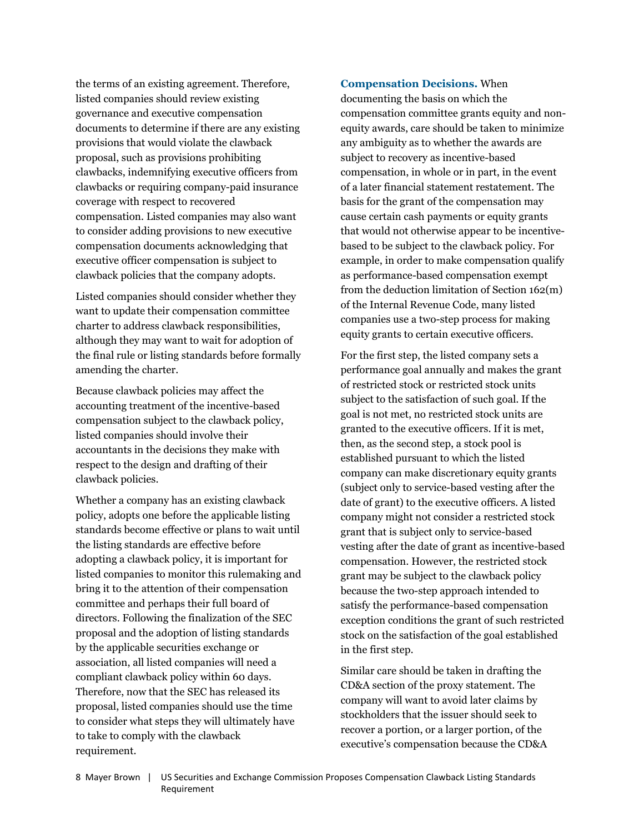the terms of an existing agreement. Therefore, listed companies should review existing governance and executive compensation documents to determine if there are any existing provisions that would violate the clawback proposal, such as provisions prohibiting clawbacks, indemnifying executive officers from clawbacks or requiring company-paid insurance coverage with respect to recovered compensation. Listed companies may also want to consider adding provisions to new executive compensation documents acknowledging that executive officer compensation is subject to clawback policies that the company adopts.

Listed companies should consider whether they want to update their compensation committee charter to address clawback responsibilities, although they may want to wait for adoption of the final rule or listing standards before formally amending the charter.

Because clawback policies may affect the accounting treatment of the incentive-based compensation subject to the clawback policy, listed companies should involve their accountants in the decisions they make with respect to the design and drafting of their clawback policies.

Whether a company has an existing clawback policy, adopts one before the applicable listing standards become effective or plans to wait until the listing standards are effective before adopting a clawback policy, it is important for listed companies to monitor this rulemaking and bring it to the attention of their compensation committee and perhaps their full board of directors. Following the finalization of the SEC proposal and the adoption of listing standards by the applicable securities exchange or association, all listed companies will need a compliant clawback policy within 60 days. Therefore, now that the SEC has released its proposal, listed companies should use the time to consider what steps they will ultimately have to take to comply with the clawback requirement.

**Compensation Decisions.** When

documenting the basis on which the compensation committee grants equity and nonequity awards, care should be taken to minimize any ambiguity as to whether the awards are subject to recovery as incentive-based compensation, in whole or in part, in the event of a later financial statement restatement. The basis for the grant of the compensation may cause certain cash payments or equity grants that would not otherwise appear to be incentivebased to be subject to the clawback policy. For example, in order to make compensation qualify as performance-based compensation exempt from the deduction limitation of Section 162(m) of the Internal Revenue Code, many listed companies use a two-step process for making equity grants to certain executive officers.

For the first step, the listed company sets a performance goal annually and makes the grant of restricted stock or restricted stock units subject to the satisfaction of such goal. If the goal is not met, no restricted stock units are granted to the executive officers. If it is met, then, as the second step, a stock pool is established pursuant to which the listed company can make discretionary equity grants (subject only to service-based vesting after the date of grant) to the executive officers. A listed company might not consider a restricted stock grant that is subject only to service-based vesting after the date of grant as incentive-based compensation. However, the restricted stock grant may be subject to the clawback policy because the two-step approach intended to satisfy the performance-based compensation exception conditions the grant of such restricted stock on the satisfaction of the goal established in the first step.

Similar care should be taken in drafting the CD&A section of the proxy statement. The company will want to avoid later claims by stockholders that the issuer should seek to recover a portion, or a larger portion, of the executive's compensation because the CD&A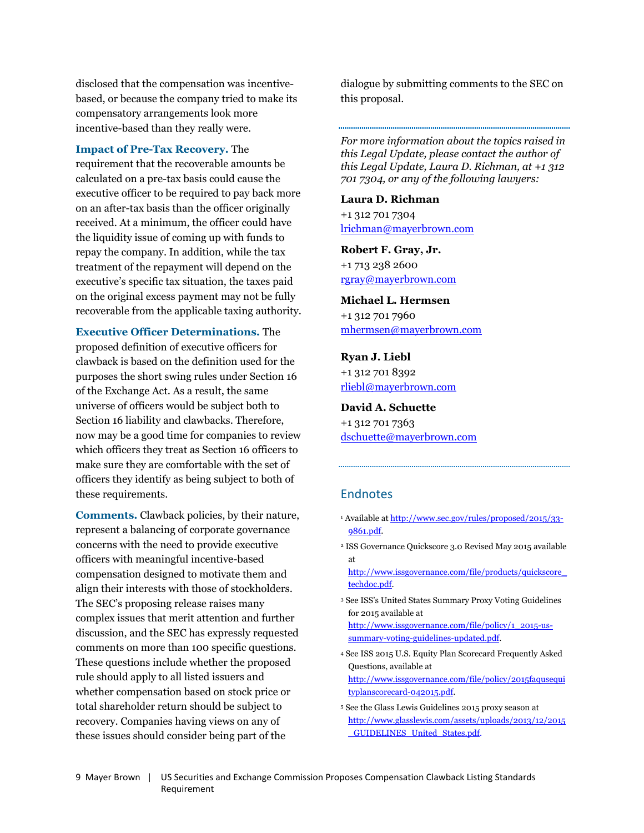disclosed that the compensation was incentivebased, or because the company tried to make its compensatory arrangements look more incentive-based than they really were.

#### **Impact of Pre-Tax Recovery.** The

<span id="page-8-2"></span>requirement that the recoverable amounts be calculated on a pre-tax basis could cause the executive officer to be required to pay back more on an after-tax basis than the officer originally received. At a minimum, the officer could have the liquidity issue of coming up with funds to repay the company. In addition, while the tax treatment of the repayment will depend on the executive's specific tax situation, the taxes paid on the original excess payment may not be fully recoverable from the applicable taxing authority.

**Executive Officer Determinations.** The proposed definition of executive officers for clawback is based on the definition used for the purposes the short swing rules under Section 16 of the Exchange Act. As a result, the same universe of officers would be subject both to Section 16 liability and clawbacks. Therefore, now may be a good time for companies to review which officers they treat as Section 16 officers to make sure they are comfortable with the set of officers they identify as being subject to both of these requirements.

<span id="page-8-4"></span><span id="page-8-3"></span>**Comments.** Clawback policies, by their nature, represent a balancing of corporate governance concerns with the need to provide executive officers with meaningful incentive-based compensation designed to motivate them and align their interests with those of stockholders. The SEC's proposing release raises many complex issues that merit attention and further discussion, and the SEC has expressly requested comments on more than 100 specific questions. These questions include whether the proposed rule should apply to all listed issuers and whether compensation based on stock price or total shareholder return should be subject to recovery. Companies having views on any of these issues should consider being part of the

dialogue by submitting comments to the SEC on this proposal.

*For more information about the topics raised in this Legal Update, please contact the author of this Legal Update, Laura D. Richman, at +1 312 701 7304, or any of the following lawyers:*

**Laura D. Richman** +1 312 701 7304 lrichman@mayerbrown.com

**Robert F. Gray, Jr.** +1 713 238 2600 [rgray@mayerbrown.com](mailto:rgray@mayerbrown.com)

## **Michael L. Hermsen**

+1 312 701 7960 [mhermsen@mayerbrown.com](mailto:mhermsen@mayerbrown.com)

**Ryan J. Liebl** +1 312 701 8392 [rliebl@mayerbrown.com](mailto:rliebl@mayerbrown.com)

**David A. Schuette** +1 312 701 7363 [dschuette@mayerbrown.com](mailto:dschuette@mayerbrown.com)

## **Endnotes**

- <span id="page-8-0"></span><sup>1</sup> Available at [http://www.sec.gov/rules/proposed/2015/33-](http://www.sec.gov/rules/proposed/2015/33-9861.pdf) 9861.pdf.
- <span id="page-8-1"></span><sup>2</sup> ISS Governance Quickscore 3.0 Revised May 2015 available at

[http://www.issgovernance.com/file/products/quickscore\\_](http://www.issgovernance.com/file/products/quickscore_techdoc.pdf) techdoc.pdf.

- <sup>3</sup> See ISS's United States Summary Proxy Voting Guidelines for 2015 available at [http://www.issgovernance.com/file/policy/1\\_2015-us](http://www.issgovernance.com/file/policy/1_2015-us-summary-voting-guidelines-updated.pdf)summary-voting-guidelines-updated.pdf.
- <sup>4</sup> See ISS 2015 U.S. Equity Plan Scorecard Frequently Asked Questions, available at [http://www.issgovernance.com/file/policy/2015faqusequi](http://www.issgovernance.com/file/policy/2015faqusequityplanscorecard-042015.pdf) typlanscorecard-042015.pdf.
- <sup>5</sup> See the Glass Lewis Guidelines 2015 proxy season at [http://www.glasslewis.com/assets/uploads/2013/12/2015](http://www.glasslewis.com/assets/uploads/2013/12/2015_GUIDELINES_United_States.pdf) \_GUIDELINES\_United\_States.pdf.